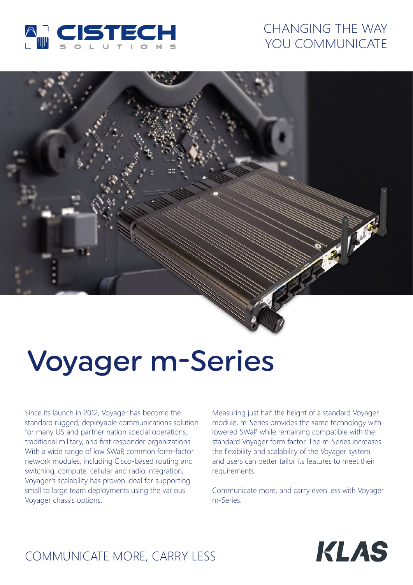

# CHANGING THE WAY YOU COMMUNICATE



# Voyager m-Series

Since its launch in 2012, Voyager has become the standard rugged, deployable communications solution for many US and partner nation special operations, traditional military, and first responder organizations. With a wide range of low SWaP, common form-factor network modules, including Cisco-based routing and switching, compute, cellular and radio integration, Voyager's scalability has proven ideal for supporting small to large team deployments using the various Voyager chassis options.

Measuring just half the height of a standard Voyager module, m-Series provides the same technology with lowered SWaP while remaining compatible with the standard Voyager form factor. The m-Series increases the flexibility and scalability of the Voyager system and users can better tailor its features to meet their requirements.

Communicate more, and carry even less with Voyager m-Series.



# COMMUNICATE MORE, CARRY LESS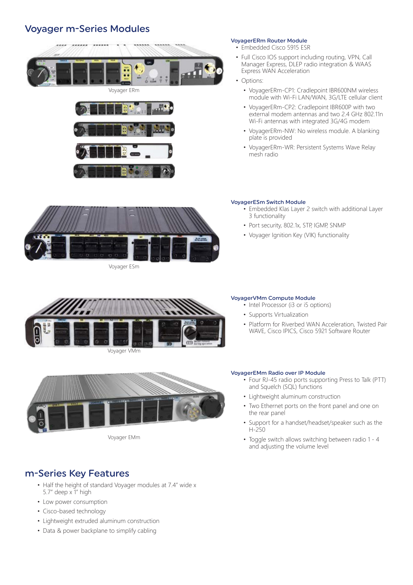## Voyager m-Series Modules





#### VoyagerERm Router Module

• Embedded Cisco 5915 ESR

- Full Cisco IOS support including routing, VPN, Call Manager Express, DLEP radio integration & WAAS Express WAN Acceleration
- Options:
	- VoyagerERm-CP1: Cradlepoint IBR600NM wireless module with Wi-Fi LAN/WAN, 3G/LTE cellular client
	- VoyagerERm-CP2: Cradlepoint IBR600P with two external modem antennas and two 2.4 GHz 802.11n Wi-Fi antennas with integrated 3G/4G modem
	- VoyagerERm-NW: No wireless module. A blanking plate is provided
	- VoyagerERm-WR: Persistent Systems Wave Relay mesh radio



Voyager ESm

#### VoyagerESm Switch Module

- Embedded Klas Layer 2 switch with additional Layer 3 functionality
- Port security, 802.1x, STP, IGMP, SNMP
- Voyager Ignition Key (VIK) functionality



#### VoyagerVMm Compute Module

- Intel Processor (i3 or i5 options)
- Supports Virtualization
- Platform for Riverbed WAN Acceleration, Twisted Pair WAVE, Cisco IPICS, Cisco 5921 Software Router



Voyager EMm

#### VoyagerEMm Radio over IP Module

- Four RJ-45 radio ports supporting Press to Talk (PTT) and Squelch (SQL) functions
- Lightweight aluminum construction
- Two Ethernet ports on the front panel and one on the rear panel
- Support for a handset/headset/speaker such as the H-250
- Toggle switch allows switching between radio 1 4 and adjusting the volume level

### m-Series Key Features

- Half the height of standard Voyager modules at 7.4" wide x 5.7" deep x 1" high
- Low power consumption
- Cisco-based technology
- Lightweight extruded aluminum construction
- Data & power backplane to simplify cabling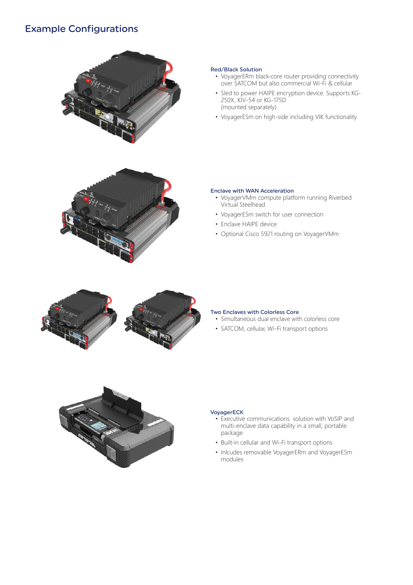# Example Configurations



#### Red/Black Solution

- VoyagerERm black-core router providing connectivity over SATCOM but also commercial Wi-Fi & cellular
- Sled to power HAIPE encryption device. Supports KG-250X, KIV-54 or KG-175D (mounted separately)
- VoyagerESm on high-side including VIK functionality



#### Enclave with WAN Acceleration

- VoyagerVMm compute platform running Riverbed Virtual Steelhead
- VoyagerESm switch for user connection
- Enclave HAIPE device
- Optional Cisco 5921 routing on VoyagerVMm



#### Two Enclaves with Colorless Core

- Simultaneous dual enclave with colorless core
- SATCOM, cellular, Wi-Fi transport options



#### VoyagerECK

- Executive communications solution with VoSIP and multi-enclave data capability in a small, portable package
- Built-in cellular and Wi-Fi transport options
- Inlcudes removable VoyagerERm and VoyagerESm modules